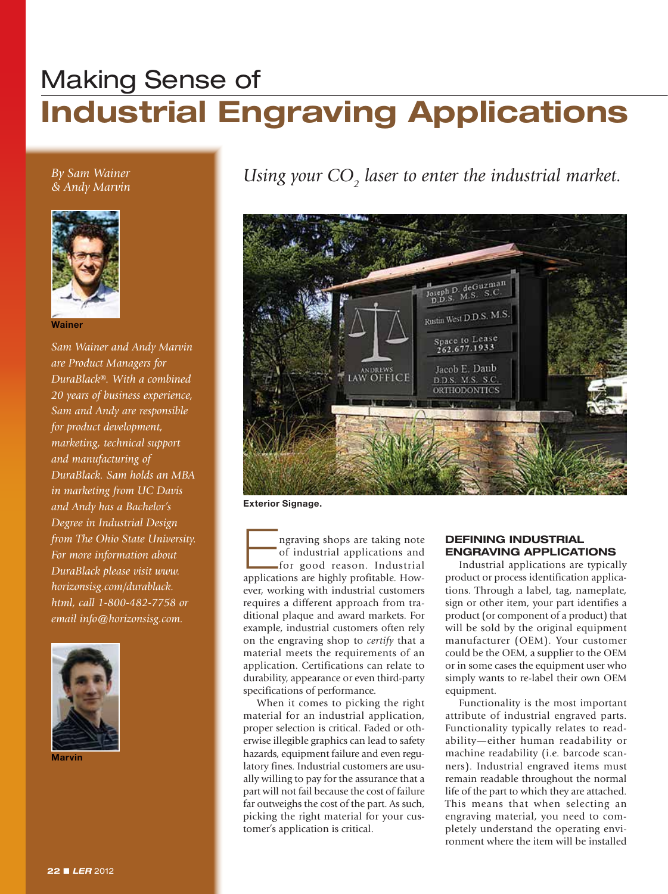# Making Sense of **Industrial Engraving Applications**

*By Sam Wainer & Andy Marvin*



**Wainer**

*Sam Wainer and Andy Marvin are Product Managers for DuraBlack®. With a combined 20 years of business experience, Sam and Andy are responsible for product development, marketing, technical support and manufacturing of DuraBlack. Sam holds an MBA in marketing from UC Davis and Andy has a Bachelor's Degree in Industrial Design from The Ohio State University. For more information about DuraBlack please visit www. horizonsisg.com/durablack. html, call 1-800-482-7758 or email info@horizonsisg.com.*



**Marvin**

Using your  $\mathrm{CO}_2$  laser to enter the industrial market.



**Exterior Signage.**

ngraving shops are taking note<br>of industrial applications and<br>for good reason. Industrial<br>applications are highly profitable Howof industrial applications and for good reason. Industrial applications are highly profitable. However, working with industrial customers requires a different approach from traditional plaque and award markets. For example, industrial customers often rely on the engraving shop to *certify* that a material meets the requirements of an application. Certifications can relate to durability, appearance or even third-party specifications of performance.

When it comes to picking the right material for an industrial application, proper selection is critical. Faded or otherwise illegible graphics can lead to safety hazards, equipment failure and even regulatory fines. Industrial customers are usually willing to pay for the assurance that a part will not fail because the cost of failure far outweighs the cost of the part. As such, picking the right material for your customer's application is critical.

### **Defining Industrial Engraving Applications**

Industrial applications are typically product or process identification applications. Through a label, tag, nameplate, sign or other item, your part identifies a product (or component of a product) that will be sold by the original equipment manufacturer (OEM). Your customer could be the OEM, a supplier to the OEM or in some cases the equipment user who simply wants to re-label their own OEM equipment.

Functionality is the most important attribute of industrial engraved parts. Functionality typically relates to readability—either human readability or machine readability (i.e. barcode scanners). Industrial engraved items must remain readable throughout the normal life of the part to which they are attached. This means that when selecting an engraving material, you need to completely understand the operating environment where the item will be installed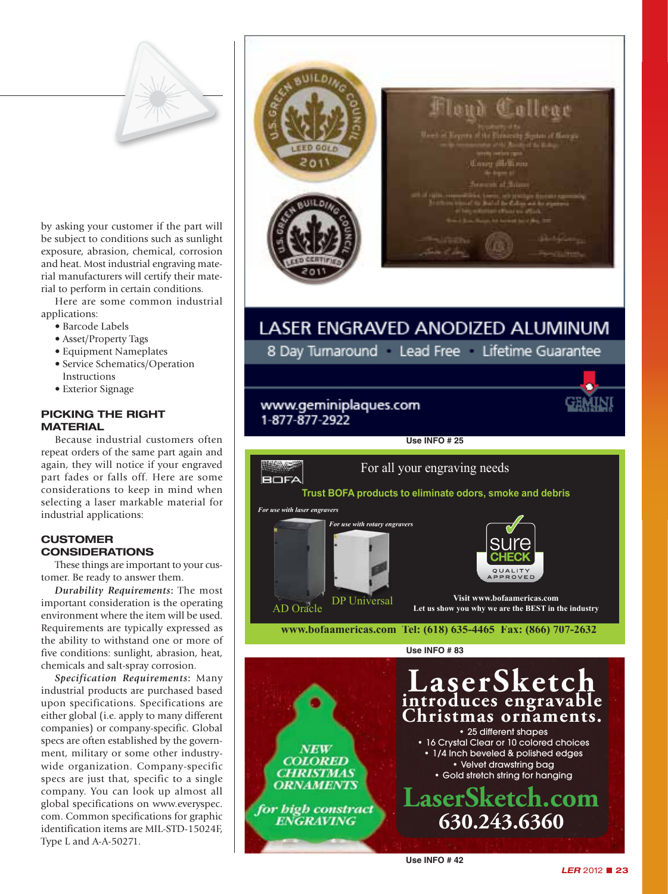

by asking your customer if the part will be subject to conditions such as sunlight exposure, abrasion, chemical, corrosion and heat. Most industrial engraving material manufacturers will certify their material to perform in certain conditions.

Here are some common industrial applications:

- Barcode Labels
- Asset/Property Tags
- Equipment Nameplates
- Service Schematics/Operation Instructions
- Exterior Signage

# **Picking The Right Material**

Because industrial customers often repeat orders of the same part again and again, they will notice if your engraved part fades or falls off. Here are some considerations to keep in mind when selecting a laser markable material for industrial applications:

# **Customer Considerations**

These things are important to your customer. Be ready to answer them.

*Durability Requirements***:** The most important consideration is the operating environment where the item will be used. Requirements are typically expressed as the ability to withstand one or more of five conditions: sunlight, abrasion, heat, chemicals and salt-spray corrosion.

*Specification Requirements***:** Many industrial products are purchased based upon specifications. Specifications are either global (i.e. apply to many different companies) or company-specific. Global specs are often established by the government, military or some other industrywide organization. Company-specific specs are just that, specific to a single company. You can look up almost all global specifications on www.everyspec. com. Common specifications for graphic identification items are MIL-STD-15024F, Type L and A-A-50271.



# LASER ENGRAVED ANODIZED ALUMINUM

8 Day Turnaround Lead Free Lifetime Guarantee

# www.geminiplaques.com 1-877-877-2922



**Use Info # 25**

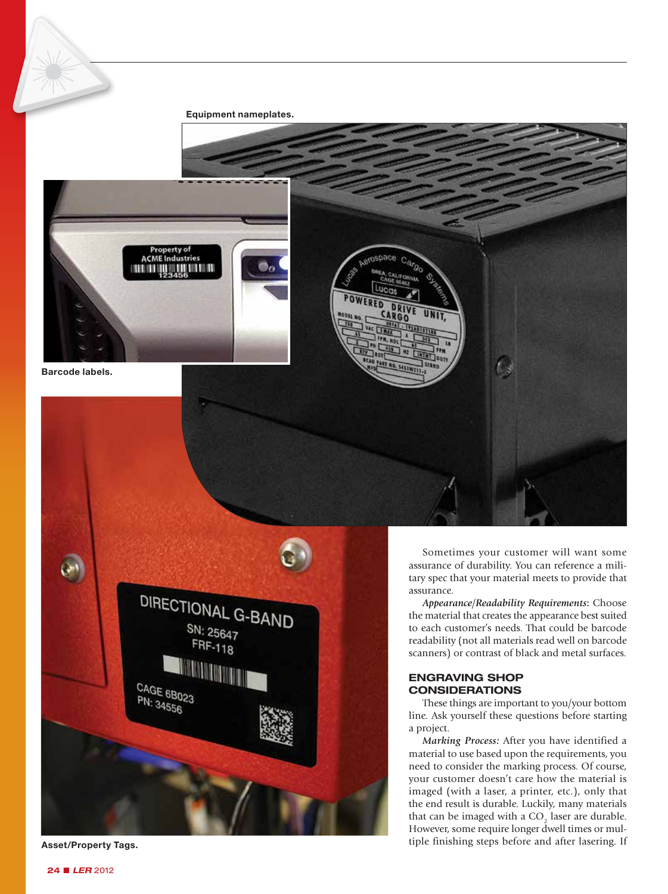#### **Equipment nameplates.**



**Barcode labels.**





Sometimes your customer will want some assurance of durability. You can reference a military spec that your material meets to provide that assurance.

*Appearance/Readability Requirements***:** Choose the material that creates the appearance best suited to each customer's needs. That could be barcode readability (not all materials read well on barcode scanners) or contrast of black and metal surfaces.

# **ENGRAVING SHOP CONSIDERATIONS**

These things are important to you/your bottom line. Ask yourself these questions before starting a project.

*Marking Process:* After you have identified a material to use based upon the requirements, you need to consider the marking process. Of course, your customer doesn't care how the material is imaged (with a laser, a printer, etc.), only that the end result is durable. Luckily, many materials that can be imaged with a  $CO<sub>2</sub>$  laser are durable. However, some require longer dwell times or multiple finishing steps before and after lasering. If **Asset/Property Tags.**